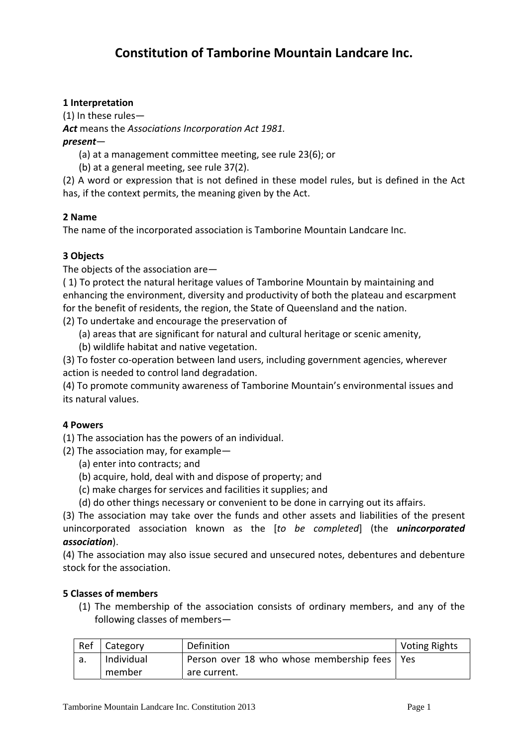# **1 Interpretation**

(1) In these rules— *Act* means the *Associations Incorporation Act 1981. present*—

- (a) at a management committee meeting, see rule 23(6); or
- (b) at a general meeting, see rule 37(2).

(2) A word or expression that is not defined in these model rules, but is defined in the Act has, if the context permits, the meaning given by the Act.

## **2 Name**

The name of the incorporated association is Tamborine Mountain Landcare Inc.

### **3 Objects**

The objects of the association are—

( 1) To protect the natural heritage values of Tamborine Mountain by maintaining and enhancing the environment, diversity and productivity of both the plateau and escarpment for the benefit of residents, the region, the State of Queensland and the nation.

- (2) To undertake and encourage the preservation of
	- (a) areas that are significant for natural and cultural heritage or scenic amenity,
	- (b) wildlife habitat and native vegetation.

(3) To foster co‐operation between land users, including government agencies, wherever action is needed to control land degradation.

(4) To promote community awareness of Tamborine Mountain's environmental issues and its natural values.

#### **4 Powers**

(1) The association has the powers of an individual.

- (2) The association may, for example—
	- (a) enter into contracts; and
	- (b) acquire, hold, deal with and dispose of property; and
	- (c) make charges for services and facilities it supplies; and
	- (d) do other things necessary or convenient to be done in carrying out its affairs.

(3) The association may take over the funds and other assets and liabilities of the present unincorporated association known as the [*to be completed*] (the *unincorporated association*).

(4) The association may also issue secured and unsecured notes, debentures and debenture stock for the association.

#### **5 Classes of members**

(1) The membership of the association consists of ordinary members, and any of the following classes of members—

| Ref | Category   | Definition                                     | Voting Rights |
|-----|------------|------------------------------------------------|---------------|
| a.  | Individual | Person over 18 who whose membership fees   Yes |               |
|     | member     | are current.                                   |               |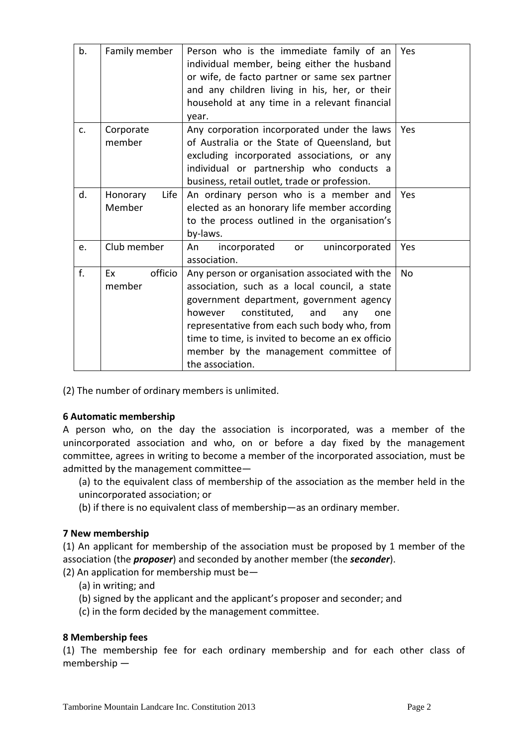| b. | Family member    | Person who is the immediate family of an          | Yes            |
|----|------------------|---------------------------------------------------|----------------|
|    |                  | individual member, being either the husband       |                |
|    |                  | or wife, de facto partner or same sex partner     |                |
|    |                  | and any children living in his, her, or their     |                |
|    |                  | household at any time in a relevant financial     |                |
|    |                  | vear.                                             |                |
| c. | Corporate        | Any corporation incorporated under the laws       | Yes            |
|    | member           | of Australia or the State of Queensland, but      |                |
|    |                  | excluding incorporated associations, or any       |                |
|    |                  | individual or partnership who conducts a          |                |
|    |                  | business, retail outlet, trade or profession.     |                |
| d. | Honorary<br>Life | An ordinary person who is a member and            | Yes            |
|    | Member           | elected as an honorary life member according      |                |
|    |                  | to the process outlined in the organisation's     |                |
|    |                  | by-laws.                                          |                |
| e. | Club member      | unincorporated<br>An<br>incorporated<br><b>or</b> | Yes            |
|    |                  | association.                                      |                |
| f. | officio<br>Fx.   | Any person or organisation associated with the    | N <sub>0</sub> |
|    | member           | association, such as a local council, a state     |                |
|    |                  | government department, government agency          |                |
|    |                  | constituted,<br>and<br>however<br>any<br>one      |                |
|    |                  | representative from each such body who, from      |                |
|    |                  | time to time, is invited to become an ex officio  |                |
|    |                  | member by the management committee of             |                |
|    |                  | the association.                                  |                |

(2) The number of ordinary members is unlimited.

## **6 Automatic membership**

A person who, on the day the association is incorporated, was a member of the unincorporated association and who, on or before a day fixed by the management committee, agrees in writing to become a member of the incorporated association, must be admitted by the management committee—

- (a) to the equivalent class of membership of the association as the member held in the unincorporated association; or
- (b) if there is no equivalent class of membership—as an ordinary member.

## **7 New membership**

(1) An applicant for membership of the association must be proposed by 1 member of the association (the *proposer*) and seconded by another member (the *seconder*).

- (2) An application for membership must be—
	- (a) in writing; and
	- (b) signed by the applicant and the applicant's proposer and seconder; and
	- (c) in the form decided by the management committee.

#### **8 Membership fees**

(1) The membership fee for each ordinary membership and for each other class of membership —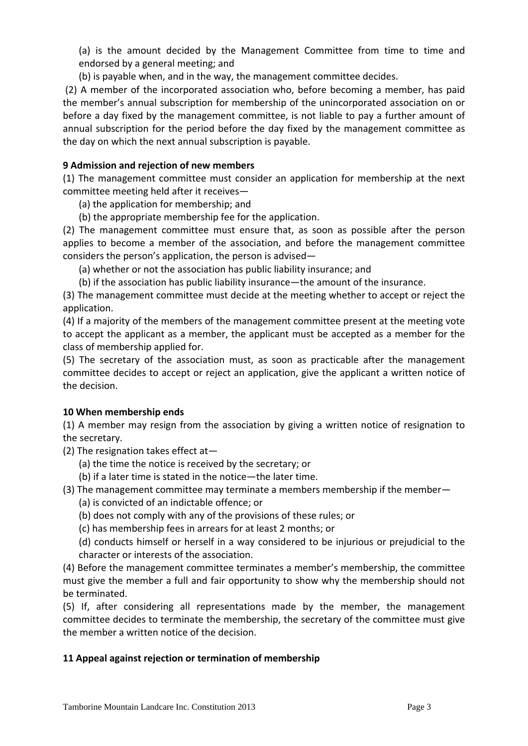(a) is the amount decided by the Management Committee from time to time and endorsed by a general meeting; and

(b) is payable when, and in the way, the management committee decides.

(2) A member of the incorporated association who, before becoming a member, has paid the member's annual subscription for membership of the unincorporated association on or before a day fixed by the management committee, is not liable to pay a further amount of annual subscription for the period before the day fixed by the management committee as the day on which the next annual subscription is payable.

## **9 Admission and rejection of new members**

(1) The management committee must consider an application for membership at the next committee meeting held after it receives—

- (a) the application for membership; and
- (b) the appropriate membership fee for the application.

(2) The management committee must ensure that, as soon as possible after the person applies to become a member of the association, and before the management committee considers the person's application, the person is advised—

(a) whether or not the association has public liability insurance; and

(b) if the association has public liability insurance—the amount of the insurance.

(3) The management committee must decide at the meeting whether to accept or reject the application.

(4) If a majority of the members of the management committee present at the meeting vote to accept the applicant as a member, the applicant must be accepted as a member for the class of membership applied for.

(5) The secretary of the association must, as soon as practicable after the management committee decides to accept or reject an application, give the applicant a written notice of the decision.

## **10 When membership ends**

(1) A member may resign from the association by giving a written notice of resignation to the secretary.

(2) The resignation takes effect at—

- (a) the time the notice is received by the secretary; or
- (b) if a later time is stated in the notice—the later time.

(3) The management committee may terminate a members membership if the member—

- (a) is convicted of an indictable offence; or
- (b) does not comply with any of the provisions of these rules; or
- (c) has membership fees in arrears for at least 2 months; or

(d) conducts himself or herself in a way considered to be injurious or prejudicial to the character or interests of the association.

(4) Before the management committee terminates a member's membership, the committee must give the member a full and fair opportunity to show why the membership should not be terminated.

(5) If, after considering all representations made by the member, the management committee decides to terminate the membership, the secretary of the committee must give the member a written notice of the decision.

## **11 Appeal against rejection or termination of membership**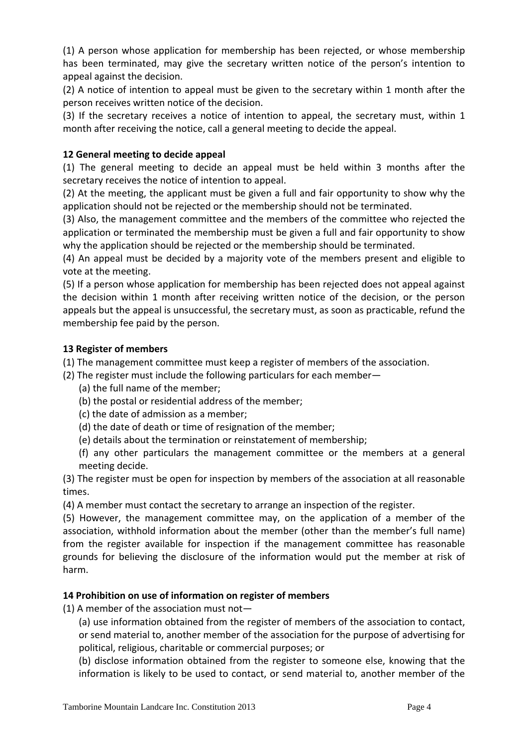(1) A person whose application for membership has been rejected, or whose membership has been terminated, may give the secretary written notice of the person's intention to appeal against the decision.

(2) A notice of intention to appeal must be given to the secretary within 1 month after the person receives written notice of the decision.

(3) If the secretary receives a notice of intention to appeal, the secretary must, within 1 month after receiving the notice, call a general meeting to decide the appeal.

## **12 General meeting to decide appeal**

(1) The general meeting to decide an appeal must be held within 3 months after the secretary receives the notice of intention to appeal.

(2) At the meeting, the applicant must be given a full and fair opportunity to show why the application should not be rejected or the membership should not be terminated.

(3) Also, the management committee and the members of the committee who rejected the application or terminated the membership must be given a full and fair opportunity to show why the application should be rejected or the membership should be terminated.

(4) An appeal must be decided by a majority vote of the members present and eligible to vote at the meeting.

(5) If a person whose application for membership has been rejected does not appeal against the decision within 1 month after receiving written notice of the decision, or the person appeals but the appeal is unsuccessful, the secretary must, as soon as practicable, refund the membership fee paid by the person.

## **13 Register of members**

(1) The management committee must keep a register of members of the association.

- (2) The register must include the following particulars for each member—
	- (a) the full name of the member;
	- (b) the postal or residential address of the member;
	- (c) the date of admission as a member;
	- (d) the date of death or time of resignation of the member;
	- (e) details about the termination or reinstatement of membership;
	- (f) any other particulars the management committee or the members at a general meeting decide.

(3) The register must be open for inspection by members of the association at all reasonable times.

(4) A member must contact the secretary to arrange an inspection of the register.

(5) However, the management committee may, on the application of a member of the association, withhold information about the member (other than the member's full name) from the register available for inspection if the management committee has reasonable grounds for believing the disclosure of the information would put the member at risk of harm.

## **14 Prohibition on use of information on register of members**

(1) A member of the association must not—

(a) use information obtained from the register of members of the association to contact, or send material to, another member of the association for the purpose of advertising for political, religious, charitable or commercial purposes; or

(b) disclose information obtained from the register to someone else, knowing that the information is likely to be used to contact, or send material to, another member of the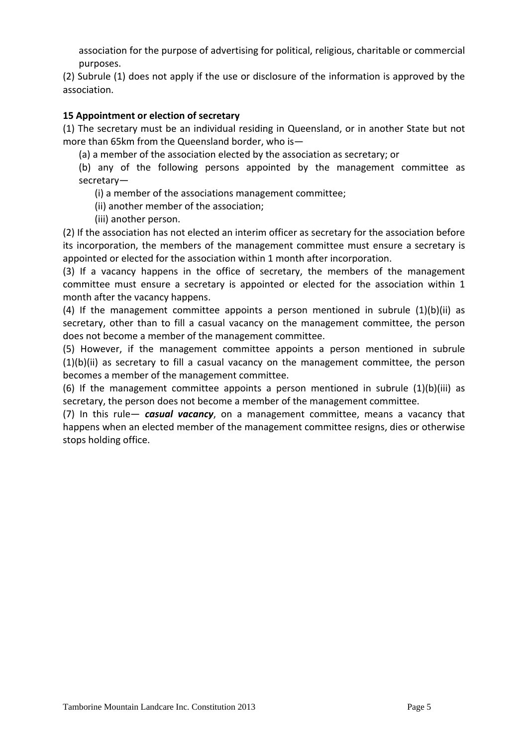association for the purpose of advertising for political, religious, charitable or commercial purposes.

(2) Subrule (1) does not apply if the use or disclosure of the information is approved by the association.

### **15 Appointment or election of secretary**

(1) The secretary must be an individual residing in Queensland, or in another State but not more than 65km from the Queensland border, who is—

(a) a member of the association elected by the association as secretary; or

(b) any of the following persons appointed by the management committee as secretary—

(i) a member of the associations management committee;

(ii) another member of the association;

(iii) another person.

(2) If the association has not elected an interim officer as secretary for the association before its incorporation, the members of the management committee must ensure a secretary is appointed or elected for the association within 1 month after incorporation.

(3) If a vacancy happens in the office of secretary, the members of the management committee must ensure a secretary is appointed or elected for the association within 1 month after the vacancy happens.

(4) If the management committee appoints a person mentioned in subrule (1)(b)(ii) as secretary, other than to fill a casual vacancy on the management committee, the person does not become a member of the management committee.

(5) However, if the management committee appoints a person mentioned in subrule (1)(b)(ii) as secretary to fill a casual vacancy on the management committee, the person becomes a member of the management committee.

(6) If the management committee appoints a person mentioned in subrule (1)(b)(iii) as secretary, the person does not become a member of the management committee.

(7) In this rule— *casual vacancy*, on a management committee, means a vacancy that happens when an elected member of the management committee resigns, dies or otherwise stops holding office.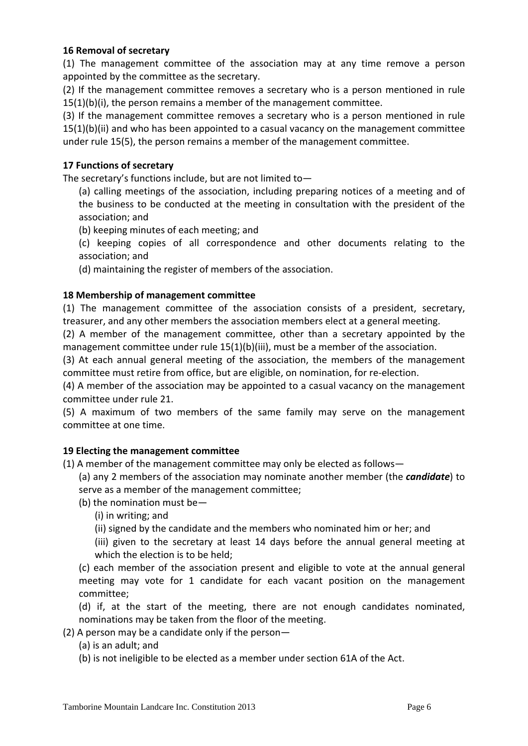### **16 Removal of secretary**

(1) The management committee of the association may at any time remove a person appointed by the committee as the secretary.

(2) If the management committee removes a secretary who is a person mentioned in rule 15(1)(b)(i), the person remains a member of the management committee.

(3) If the management committee removes a secretary who is a person mentioned in rule 15(1)(b)(ii) and who has been appointed to a casual vacancy on the management committee under rule 15(5), the person remains a member of the management committee.

### **17 Functions of secretary**

The secretary's functions include, but are not limited to—

(a) calling meetings of the association, including preparing notices of a meeting and of the business to be conducted at the meeting in consultation with the president of the association; and

(b) keeping minutes of each meeting; and

(c) keeping copies of all correspondence and other documents relating to the association; and

(d) maintaining the register of members of the association.

### **18 Membership of management committee**

(1) The management committee of the association consists of a president, secretary, treasurer, and any other members the association members elect at a general meeting.

(2) A member of the management committee, other than a secretary appointed by the management committee under rule  $15(1)(b)(iii)$ , must be a member of the association.

(3) At each annual general meeting of the association, the members of the management committee must retire from office, but are eligible, on nomination, for re‐election.

(4) A member of the association may be appointed to a casual vacancy on the management committee under rule 21.

(5) A maximum of two members of the same family may serve on the management committee at one time.

#### **19 Electing the management committee**

(1) A member of the management committee may only be elected as follows—

(a) any 2 members of the association may nominate another member (the *candidate*) to serve as a member of the management committee;

(b) the nomination must be—

(i) in writing; and

(ii) signed by the candidate and the members who nominated him or her; and

(iii) given to the secretary at least 14 days before the annual general meeting at which the election is to be held;

(c) each member of the association present and eligible to vote at the annual general meeting may vote for 1 candidate for each vacant position on the management committee;

(d) if, at the start of the meeting, there are not enough candidates nominated, nominations may be taken from the floor of the meeting.

(2) A person may be a candidate only if the person—

(a) is an adult; and

(b) is not ineligible to be elected as a member under section 61A of the Act.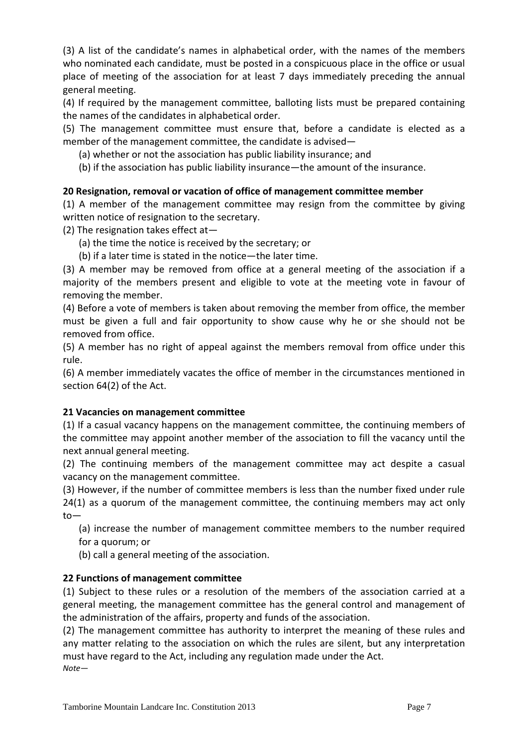(3) A list of the candidate's names in alphabetical order, with the names of the members who nominated each candidate, must be posted in a conspicuous place in the office or usual place of meeting of the association for at least 7 days immediately preceding the annual general meeting.

(4) If required by the management committee, balloting lists must be prepared containing the names of the candidates in alphabetical order.

(5) The management committee must ensure that, before a candidate is elected as a member of the management committee, the candidate is advised—

- (a) whether or not the association has public liability insurance; and
- (b) if the association has public liability insurance—the amount of the insurance.

### **20 Resignation, removal or vacation of office of management committee member**

(1) A member of the management committee may resign from the committee by giving written notice of resignation to the secretary.

(2) The resignation takes effect at—

- (a) the time the notice is received by the secretary; or
- (b) if a later time is stated in the notice—the later time.

(3) A member may be removed from office at a general meeting of the association if a majority of the members present and eligible to vote at the meeting vote in favour of removing the member.

(4) Before a vote of members is taken about removing the member from office, the member must be given a full and fair opportunity to show cause why he or she should not be removed from office.

(5) A member has no right of appeal against the members removal from office under this rule.

(6) A member immediately vacates the office of member in the circumstances mentioned in section 64(2) of the Act.

#### **21 Vacancies on management committee**

(1) If a casual vacancy happens on the management committee, the continuing members of the committee may appoint another member of the association to fill the vacancy until the next annual general meeting.

(2) The continuing members of the management committee may act despite a casual vacancy on the management committee.

(3) However, if the number of committee members is less than the number fixed under rule 24(1) as a quorum of the management committee, the continuing members may act only to—

(a) increase the number of management committee members to the number required for a quorum; or

(b) call a general meeting of the association.

## **22 Functions of management committee**

(1) Subject to these rules or a resolution of the members of the association carried at a general meeting, the management committee has the general control and management of the administration of the affairs, property and funds of the association.

(2) The management committee has authority to interpret the meaning of these rules and any matter relating to the association on which the rules are silent, but any interpretation must have regard to the Act, including any regulation made under the Act. *Note*—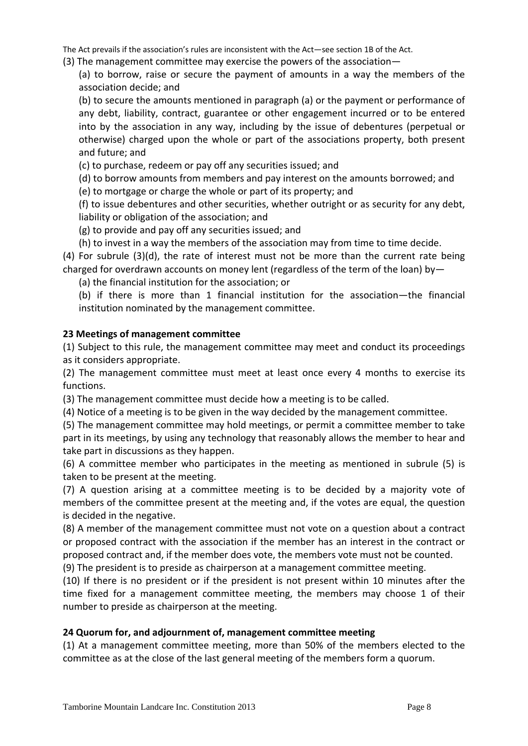The Act prevails if the association's rules are inconsistent with the Act—see section 1B of the Act.

(3) The management committee may exercise the powers of the association—

(a) to borrow, raise or secure the payment of amounts in a way the members of the association decide; and

(b) to secure the amounts mentioned in paragraph (a) or the payment or performance of any debt, liability, contract, guarantee or other engagement incurred or to be entered into by the association in any way, including by the issue of debentures (perpetual or otherwise) charged upon the whole or part of the associations property, both present and future; and

(c) to purchase, redeem or pay off any securities issued; and

(d) to borrow amounts from members and pay interest on the amounts borrowed; and

(e) to mortgage or charge the whole or part of its property; and

(f) to issue debentures and other securities, whether outright or as security for any debt, liability or obligation of the association; and

(g) to provide and pay off any securities issued; and

(h) to invest in a way the members of the association may from time to time decide.

(4) For subrule (3)(d), the rate of interest must not be more than the current rate being charged for overdrawn accounts on money lent (regardless of the term of the loan) by—

(a) the financial institution for the association; or

(b) if there is more than 1 financial institution for the association—the financial institution nominated by the management committee.

## **23 Meetings of management committee**

(1) Subject to this rule, the management committee may meet and conduct its proceedings as it considers appropriate.

(2) The management committee must meet at least once every 4 months to exercise its functions.

(3) The management committee must decide how a meeting is to be called.

(4) Notice of a meeting is to be given in the way decided by the management committee.

(5) The management committee may hold meetings, or permit a committee member to take part in its meetings, by using any technology that reasonably allows the member to hear and take part in discussions as they happen.

(6) A committee member who participates in the meeting as mentioned in subrule (5) is taken to be present at the meeting.

(7) A question arising at a committee meeting is to be decided by a majority vote of members of the committee present at the meeting and, if the votes are equal, the question is decided in the negative.

(8) A member of the management committee must not vote on a question about a contract or proposed contract with the association if the member has an interest in the contract or proposed contract and, if the member does vote, the members vote must not be counted.

(9) The president is to preside as chairperson at a management committee meeting.

(10) If there is no president or if the president is not present within 10 minutes after the time fixed for a management committee meeting, the members may choose 1 of their number to preside as chairperson at the meeting.

## **24 Quorum for, and adjournment of, management committee meeting**

(1) At a management committee meeting, more than 50% of the members elected to the committee as at the close of the last general meeting of the members form a quorum.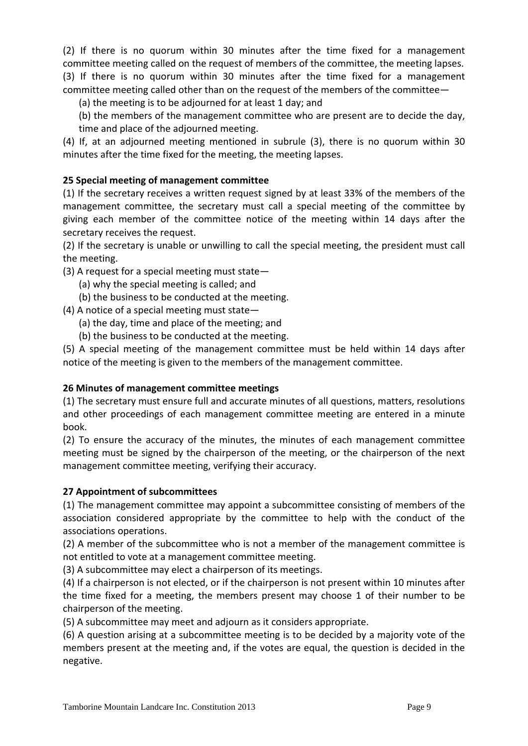(2) If there is no quorum within 30 minutes after the time fixed for a management committee meeting called on the request of members of the committee, the meeting lapses. (3) If there is no quorum within 30 minutes after the time fixed for a management committee meeting called other than on the request of the members of the committee—

(a) the meeting is to be adjourned for at least 1 day; and

(b) the members of the management committee who are present are to decide the day, time and place of the adjourned meeting.

(4) If, at an adjourned meeting mentioned in subrule (3), there is no quorum within 30 minutes after the time fixed for the meeting, the meeting lapses.

## **25 Special meeting of management committee**

(1) If the secretary receives a written request signed by at least 33% of the members of the management committee, the secretary must call a special meeting of the committee by giving each member of the committee notice of the meeting within 14 days after the secretary receives the request.

(2) If the secretary is unable or unwilling to call the special meeting, the president must call the meeting.

(3) A request for a special meeting must state—

- (a) why the special meeting is called; and
- (b) the business to be conducted at the meeting.

(4) A notice of a special meeting must state—

- (a) the day, time and place of the meeting; and
- (b) the business to be conducted at the meeting.

(5) A special meeting of the management committee must be held within 14 days after notice of the meeting is given to the members of the management committee.

#### **26 Minutes of management committee meetings**

(1) The secretary must ensure full and accurate minutes of all questions, matters, resolutions and other proceedings of each management committee meeting are entered in a minute book.

(2) To ensure the accuracy of the minutes, the minutes of each management committee meeting must be signed by the chairperson of the meeting, or the chairperson of the next management committee meeting, verifying their accuracy.

#### **27 Appointment of subcommittees**

(1) The management committee may appoint a subcommittee consisting of members of the association considered appropriate by the committee to help with the conduct of the associations operations.

(2) A member of the subcommittee who is not a member of the management committee is not entitled to vote at a management committee meeting.

(3) A subcommittee may elect a chairperson of its meetings.

(4) If a chairperson is not elected, or if the chairperson is not present within 10 minutes after the time fixed for a meeting, the members present may choose 1 of their number to be chairperson of the meeting.

(5) A subcommittee may meet and adjourn as it considers appropriate.

(6) A question arising at a subcommittee meeting is to be decided by a majority vote of the members present at the meeting and, if the votes are equal, the question is decided in the negative.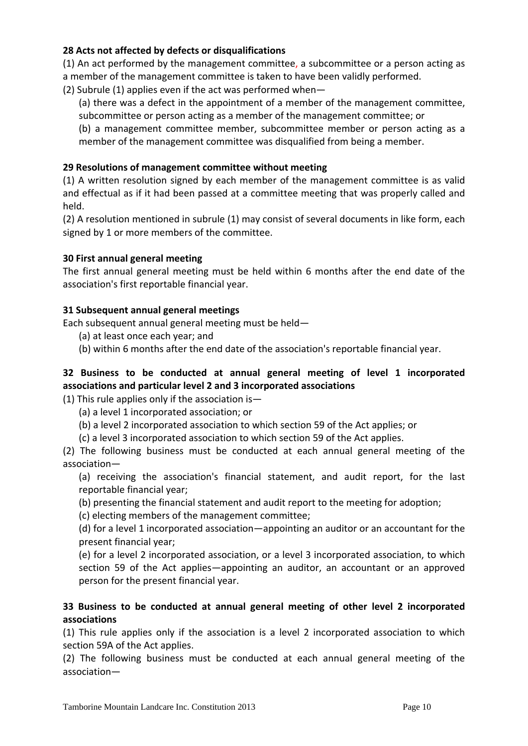## **28 Acts not affected by defects or disqualifications**

(1) An act performed by the management committee, a subcommittee or a person acting as a member of the management committee is taken to have been validly performed.

(2) Subrule (1) applies even if the act was performed when—

(a) there was a defect in the appointment of a member of the management committee, subcommittee or person acting as a member of the management committee; or

(b) a management committee member, subcommittee member or person acting as a member of the management committee was disqualified from being a member.

#### **29 Resolutions of management committee without meeting**

(1) A written resolution signed by each member of the management committee is as valid and effectual as if it had been passed at a committee meeting that was properly called and held.

(2) A resolution mentioned in subrule (1) may consist of several documents in like form, each signed by 1 or more members of the committee.

#### **30 First annual general meeting**

The first annual general meeting must be held within 6 months after the end date of the association's first reportable financial year.

#### **31 Subsequent annual general meetings**

Each subsequent annual general meeting must be held—

- (a) at least once each year; and
- (b) within 6 months after the end date of the association's reportable financial year.

## **32 Business to be conducted at annual general meeting of level 1 incorporated associations and particular level 2 and 3 incorporated associations**

(1) This rule applies only if the association is  $-$ 

- (a) a level 1 incorporated association; or
- (b) a level 2 incorporated association to which section 59 of the Act applies; or
- (c) a level 3 incorporated association to which section 59 of the Act applies.

(2) The following business must be conducted at each annual general meeting of the association—

(a) receiving the association's financial statement, and audit report, for the last reportable financial year;

- (b) presenting the financial statement and audit report to the meeting for adoption;
- (c) electing members of the management committee;

(d) for a level 1 incorporated association—appointing an auditor or an accountant for the present financial year;

(e) for a level 2 incorporated association, or a level 3 incorporated association, to which section 59 of the Act applies—appointing an auditor, an accountant or an approved person for the present financial year.

### **33 Business to be conducted at annual general meeting of other level 2 incorporated associations**

(1) This rule applies only if the association is a level 2 incorporated association to which section 59A of the Act applies.

(2) The following business must be conducted at each annual general meeting of the association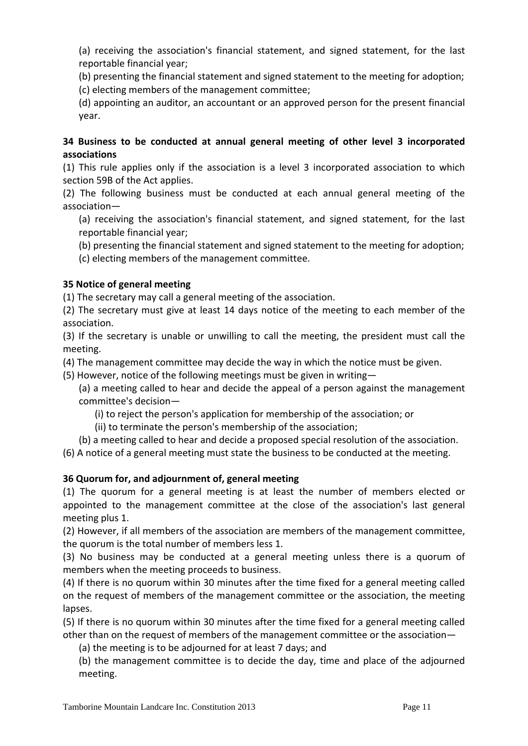(a) receiving the association's financial statement, and signed statement, for the last reportable financial year;

(b) presenting the financial statement and signed statement to the meeting for adoption; (c) electing members of the management committee;

(d) appointing an auditor, an accountant or an approved person for the present financial year.

### **34 Business to be conducted at annual general meeting of other level 3 incorporated associations**

(1) This rule applies only if the association is a level 3 incorporated association to which section 59B of the Act applies.

(2) The following business must be conducted at each annual general meeting of the association—

(a) receiving the association's financial statement, and signed statement, for the last reportable financial year;

(b) presenting the financial statement and signed statement to the meeting for adoption;

(c) electing members of the management committee.

# **35 Notice of general meeting**

(1) The secretary may call a general meeting of the association.

(2) The secretary must give at least 14 days notice of the meeting to each member of the association.

(3) If the secretary is unable or unwilling to call the meeting, the president must call the meeting.

(4) The management committee may decide the way in which the notice must be given.

(5) However, notice of the following meetings must be given in writing—

(a) a meeting called to hear and decide the appeal of a person against the management committee's decision—

(i) to reject the person's application for membership of the association; or

(ii) to terminate the person's membership of the association;

(b) a meeting called to hear and decide a proposed special resolution of the association.

(6) A notice of a general meeting must state the business to be conducted at the meeting.

# **36 Quorum for, and adjournment of, general meeting**

(1) The quorum for a general meeting is at least the number of members elected or appointed to the management committee at the close of the association's last general meeting plus 1.

(2) However, if all members of the association are members of the management committee, the quorum is the total number of members less 1.

(3) No business may be conducted at a general meeting unless there is a quorum of members when the meeting proceeds to business.

(4) If there is no quorum within 30 minutes after the time fixed for a general meeting called on the request of members of the management committee or the association, the meeting lapses.

(5) If there is no quorum within 30 minutes after the time fixed for a general meeting called other than on the request of members of the management committee or the association—

(a) the meeting is to be adjourned for at least 7 days; and

(b) the management committee is to decide the day, time and place of the adjourned meeting.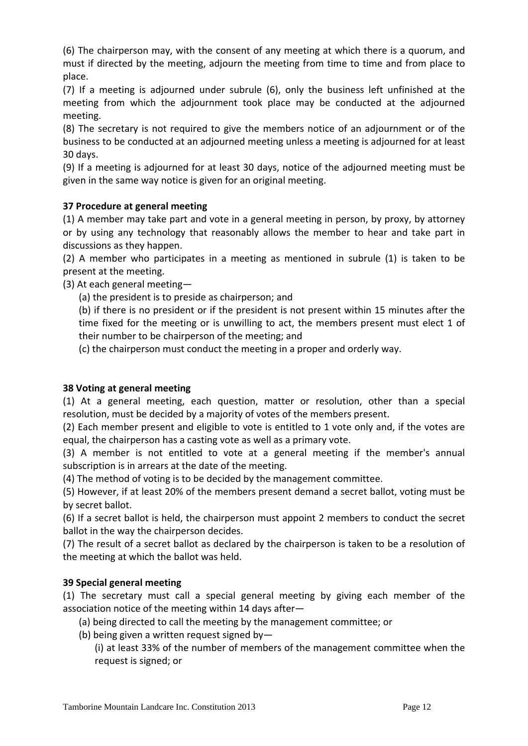(6) The chairperson may, with the consent of any meeting at which there is a quorum, and must if directed by the meeting, adjourn the meeting from time to time and from place to place.

(7) If a meeting is adjourned under subrule (6), only the business left unfinished at the meeting from which the adjournment took place may be conducted at the adjourned meeting.

(8) The secretary is not required to give the members notice of an adjournment or of the business to be conducted at an adjourned meeting unless a meeting is adjourned for at least 30 days.

(9) If a meeting is adjourned for at least 30 days, notice of the adjourned meeting must be given in the same way notice is given for an original meeting.

## **37 Procedure at general meeting**

(1) A member may take part and vote in a general meeting in person, by proxy, by attorney or by using any technology that reasonably allows the member to hear and take part in discussions as they happen.

(2) A member who participates in a meeting as mentioned in subrule (1) is taken to be present at the meeting.

(3) At each general meeting—

(a) the president is to preside as chairperson; and

(b) if there is no president or if the president is not present within 15 minutes after the time fixed for the meeting or is unwilling to act, the members present must elect 1 of their number to be chairperson of the meeting; and

(c) the chairperson must conduct the meeting in a proper and orderly way.

## **38 Voting at general meeting**

(1) At a general meeting, each question, matter or resolution, other than a special resolution, must be decided by a majority of votes of the members present.

(2) Each member present and eligible to vote is entitled to 1 vote only and, if the votes are equal, the chairperson has a casting vote as well as a primary vote.

(3) A member is not entitled to vote at a general meeting if the member's annual subscription is in arrears at the date of the meeting.

(4) The method of voting is to be decided by the management committee.

(5) However, if at least 20% of the members present demand a secret ballot, voting must be by secret ballot.

(6) If a secret ballot is held, the chairperson must appoint 2 members to conduct the secret ballot in the way the chairperson decides.

(7) The result of a secret ballot as declared by the chairperson is taken to be a resolution of the meeting at which the ballot was held.

## **39 Special general meeting**

(1) The secretary must call a special general meeting by giving each member of the association notice of the meeting within 14 days after—

- (a) being directed to call the meeting by the management committee; or
- (b) being given a written request signed by—

(i) at least 33% of the number of members of the management committee when the request is signed; or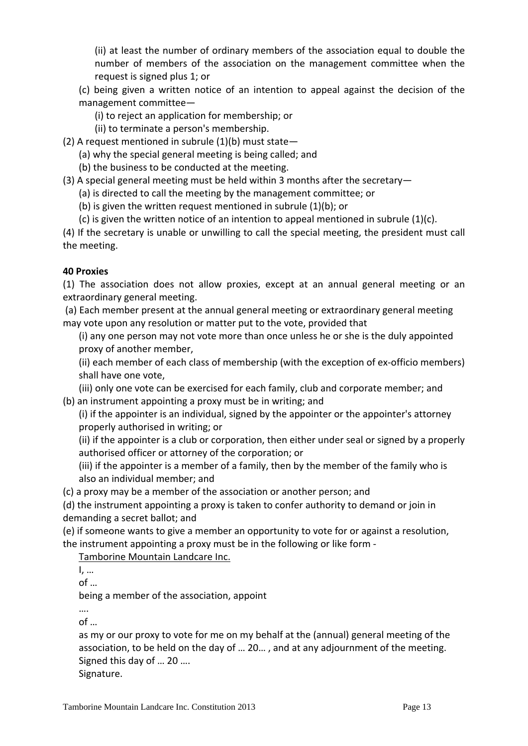(ii) at least the number of ordinary members of the association equal to double the number of members of the association on the management committee when the request is signed plus 1; or

- (c) being given a written notice of an intention to appeal against the decision of the management committee—
	- (i) to reject an application for membership; or
	- (ii) to terminate a person's membership.
- (2) A request mentioned in subrule  $(1)(b)$  must state-
	- (a) why the special general meeting is being called; and
	- (b) the business to be conducted at the meeting.
- (3) A special general meeting must be held within 3 months after the secretary—
	- (a) is directed to call the meeting by the management committee; or
	- (b) is given the written request mentioned in subrule (1)(b); or
	- (c) is given the written notice of an intention to appeal mentioned in subrule (1)(c).

(4) If the secretary is unable or unwilling to call the special meeting, the president must call the meeting.

## **40 Proxies**

(1) The association does not allow proxies, except at an annual general meeting or an extraordinary general meeting.

(a) Each member present at the annual general meeting or extraordinary general meeting may vote upon any resolution or matter put to the vote, provided that

(i) any one person may not vote more than once unless he or she is the duly appointed proxy of another member,

(ii) each member of each class of membership (with the exception of ex‐officio members) shall have one vote,

(iii) only one vote can be exercised for each family, club and corporate member; and (b) an instrument appointing a proxy must be in writing; and

(i) if the appointer is an individual, signed by the appointer or the appointer's attorney properly authorised in writing; or

(ii) if the appointer is a club or corporation, then either under seal or signed by a properly authorised officer or attorney of the corporation; or

(iii) if the appointer is a member of a family, then by the member of the family who is also an individual member; and

(c) a proxy may be a member of the association or another person; and

(d) the instrument appointing a proxy is taken to confer authority to demand or join in demanding a secret ballot; and

(e) if someone wants to give a member an opportunity to vote for or against a resolution, the instrument appointing a proxy must be in the following or like form ‐

Tamborine Mountain Landcare Inc.

I, …

 $of \dots$ 

being a member of the association, appoint

…. of …

as my or our proxy to vote for me on my behalf at the (annual) general meeting of the association, to be held on the day of … 20… , and at any adjournment of the meeting. Signed this day of … 20 ….

Signature.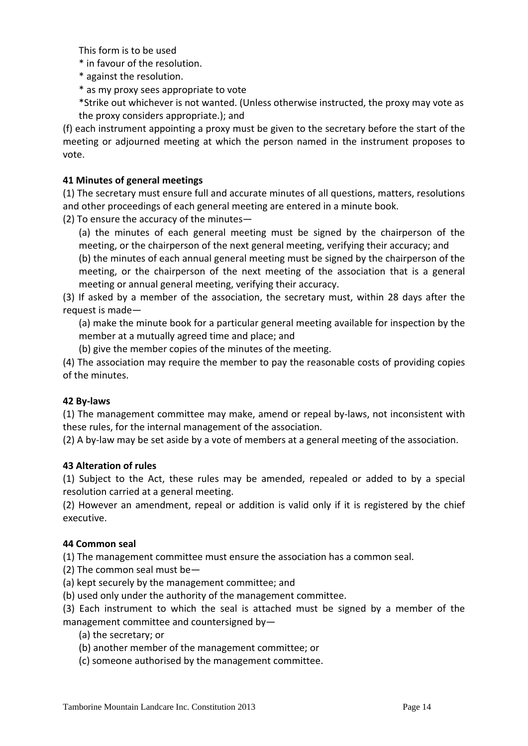This form is to be used

- \* in favour of the resolution.
- \* against the resolution.
- \* as my proxy sees appropriate to vote
- \*Strike out whichever is not wanted. (Unless otherwise instructed, the proxy may vote as the proxy considers appropriate.); and

(f) each instrument appointing a proxy must be given to the secretary before the start of the meeting or adjourned meeting at which the person named in the instrument proposes to vote.

### **41 Minutes of general meetings**

(1) The secretary must ensure full and accurate minutes of all questions, matters, resolutions and other proceedings of each general meeting are entered in a minute book.

(2) To ensure the accuracy of the minutes—

(a) the minutes of each general meeting must be signed by the chairperson of the meeting, or the chairperson of the next general meeting, verifying their accuracy; and

(b) the minutes of each annual general meeting must be signed by the chairperson of the meeting, or the chairperson of the next meeting of the association that is a general meeting or annual general meeting, verifying their accuracy.

(3) If asked by a member of the association, the secretary must, within 28 days after the request is made—

(a) make the minute book for a particular general meeting available for inspection by the member at a mutually agreed time and place; and

(b) give the member copies of the minutes of the meeting.

(4) The association may require the member to pay the reasonable costs of providing copies of the minutes.

## **42 By‐laws**

(1) The management committee may make, amend or repeal by‐laws, not inconsistent with these rules, for the internal management of the association.

(2) A by‐law may be set aside by a vote of members at a general meeting of the association.

#### **43 Alteration of rules**

(1) Subject to the Act, these rules may be amended, repealed or added to by a special resolution carried at a general meeting.

(2) However an amendment, repeal or addition is valid only if it is registered by the chief executive.

#### **44 Common seal**

(1) The management committee must ensure the association has a common seal.

(2) The common seal must be—

(a) kept securely by the management committee; and

(b) used only under the authority of the management committee.

(3) Each instrument to which the seal is attached must be signed by a member of the management committee and countersigned by—

(a) the secretary; or

(b) another member of the management committee; or

(c) someone authorised by the management committee.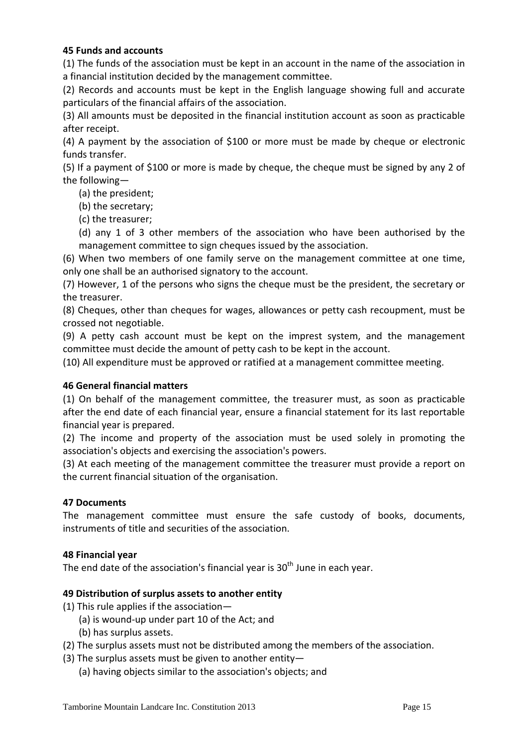### **45 Funds and accounts**

(1) The funds of the association must be kept in an account in the name of the association in a financial institution decided by the management committee.

(2) Records and accounts must be kept in the English language showing full and accurate particulars of the financial affairs of the association.

(3) All amounts must be deposited in the financial institution account as soon as practicable after receipt.

(4) A payment by the association of \$100 or more must be made by cheque or electronic funds transfer.

(5) If a payment of \$100 or more is made by cheque, the cheque must be signed by any 2 of the following—

(a) the president;

(b) the secretary;

(c) the treasurer;

(d) any 1 of 3 other members of the association who have been authorised by the management committee to sign cheques issued by the association.

(6) When two members of one family serve on the management committee at one time, only one shall be an authorised signatory to the account.

(7) However, 1 of the persons who signs the cheque must be the president, the secretary or the treasurer.

(8) Cheques, other than cheques for wages, allowances or petty cash recoupment, must be crossed not negotiable.

(9) A petty cash account must be kept on the imprest system, and the management committee must decide the amount of petty cash to be kept in the account.

(10) All expenditure must be approved or ratified at a management committee meeting.

#### **46 General financial matters**

(1) On behalf of the management committee, the treasurer must, as soon as practicable after the end date of each financial year, ensure a financial statement for its last reportable financial year is prepared.

(2) The income and property of the association must be used solely in promoting the association's objects and exercising the association's powers.

(3) At each meeting of the management committee the treasurer must provide a report on the current financial situation of the organisation.

#### **47 Documents**

The management committee must ensure the safe custody of books, documents, instruments of title and securities of the association.

#### **48 Financial year**

The end date of the association's financial year is  $30<sup>th</sup>$  June in each year.

#### **49 Distribution of surplus assets to another entity**

- (1) This rule applies if the association—
	- (a) is wound‐up under part 10 of the Act; and
	- (b) has surplus assets.
- (2) The surplus assets must not be distributed among the members of the association.
- (3) The surplus assets must be given to another entity—
	- (a) having objects similar to the association's objects; and